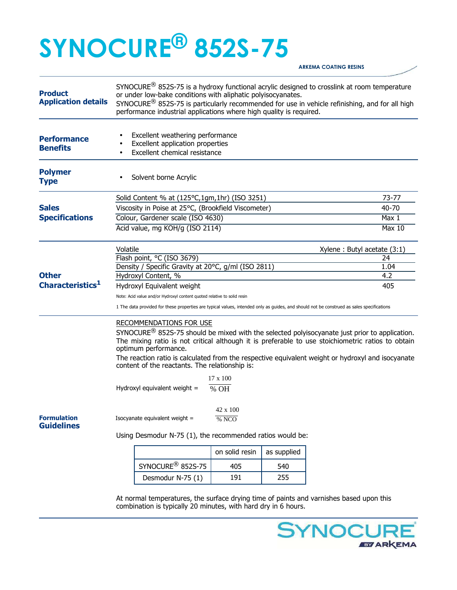## **SYNOCURE® 852S-75**

**ARKEMA COATING RESINS** 

| <b>Product</b><br><b>Application details</b> | $SYNOCURE^{(8)}$ 852S-75 is a hydroxy functional acrylic designed to crosslink at room temperature<br>or under low-bake conditions with aliphatic polyisocyanates.<br>SYNOCURE <sup>®</sup> 852S-75 is particularly recommended for use in vehicle refinishing, and for all high<br>performance industrial applications where high quality is required. |                   |             |                             |               |  |
|----------------------------------------------|---------------------------------------------------------------------------------------------------------------------------------------------------------------------------------------------------------------------------------------------------------------------------------------------------------------------------------------------------------|-------------------|-------------|-----------------------------|---------------|--|
| <b>Performance</b><br><b>Benefits</b>        | Excellent weathering performance<br>Excellent application properties<br>Excellent chemical resistance                                                                                                                                                                                                                                                   |                   |             |                             |               |  |
| <b>Polymer</b><br><b>Type</b>                | Solvent borne Acrylic                                                                                                                                                                                                                                                                                                                                   |                   |             |                             |               |  |
|                                              | Solid Content % at (125°C,1gm,1hr) (ISO 3251)                                                                                                                                                                                                                                                                                                           |                   |             |                             | 73-77         |  |
| <b>Sales</b><br><b>Specifications</b>        | Viscosity in Poise at 25°C, (Brookfield Viscometer)                                                                                                                                                                                                                                                                                                     |                   |             |                             | 40-70         |  |
|                                              | Colour, Gardener scale (ISO 4630)                                                                                                                                                                                                                                                                                                                       |                   |             |                             | Max 1         |  |
|                                              | Acid value, mg KOH/g (ISO 2114)                                                                                                                                                                                                                                                                                                                         |                   |             |                             | <b>Max 10</b> |  |
|                                              | Volatile                                                                                                                                                                                                                                                                                                                                                |                   |             | Xylene: Butyl acetate (3:1) |               |  |
|                                              | Flash point, °C (ISO 3679)                                                                                                                                                                                                                                                                                                                              |                   |             |                             | 24            |  |
|                                              | Density / Specific Gravity at 20°C, g/ml (ISO 2811)                                                                                                                                                                                                                                                                                                     |                   |             |                             | 1.04          |  |
| <b>Other</b><br>Characteristics <sup>1</sup> | Hydroxyl Content, %                                                                                                                                                                                                                                                                                                                                     |                   |             |                             | 4.2           |  |
|                                              | Hydroxyl Equivalent weight                                                                                                                                                                                                                                                                                                                              |                   |             |                             | 405           |  |
|                                              | Note: Acid value and/or Hydroxyl content quoted relative to solid resin<br>1 The data provided for these properties are typical values, intended only as guides, and should not be construed as sales specifications                                                                                                                                    |                   |             |                             |               |  |
|                                              | <b>RECOMMENDATIONS FOR USE</b>                                                                                                                                                                                                                                                                                                                          |                   |             |                             |               |  |
|                                              | $SYNOCURE^@$ 852S-75 should be mixed with the selected polyisocyanate just prior to application.<br>The mixing ratio is not critical although it is preferable to use stoichiometric ratios to obtain<br>optimum performance.                                                                                                                           |                   |             |                             |               |  |
|                                              | The reaction ratio is calculated from the respective equivalent weight or hydroxyl and isocyanate<br>content of the reactants. The relationship is:                                                                                                                                                                                                     |                   |             |                             |               |  |
|                                              |                                                                                                                                                                                                                                                                                                                                                         | $17 \times 100$   |             |                             |               |  |
|                                              | Hydroxyl equivalent weight =                                                                                                                                                                                                                                                                                                                            | $%$ OH            |             |                             |               |  |
| <b>Formulation</b><br><b>Guidelines</b>      | Isocyanate equivalent weight =                                                                                                                                                                                                                                                                                                                          | 42 x 100<br>% NCO |             |                             |               |  |
|                                              | Using Desmodur N-75 (1), the recommended ratios would be:                                                                                                                                                                                                                                                                                               |                   |             |                             |               |  |
|                                              |                                                                                                                                                                                                                                                                                                                                                         | on solid resin    | as supplied |                             |               |  |
|                                              | SYNOCURE <sup>®</sup> 852S-75                                                                                                                                                                                                                                                                                                                           | 405               | 540         |                             |               |  |
|                                              | Desmodur N-75 (1)                                                                                                                                                                                                                                                                                                                                       | 191               | 255         |                             |               |  |
|                                              |                                                                                                                                                                                                                                                                                                                                                         |                   |             |                             |               |  |

At normal temperatures, the surface drying time of paints and varnishes based upon this combination is typically 20 minutes, with hard dry in 6 hours.